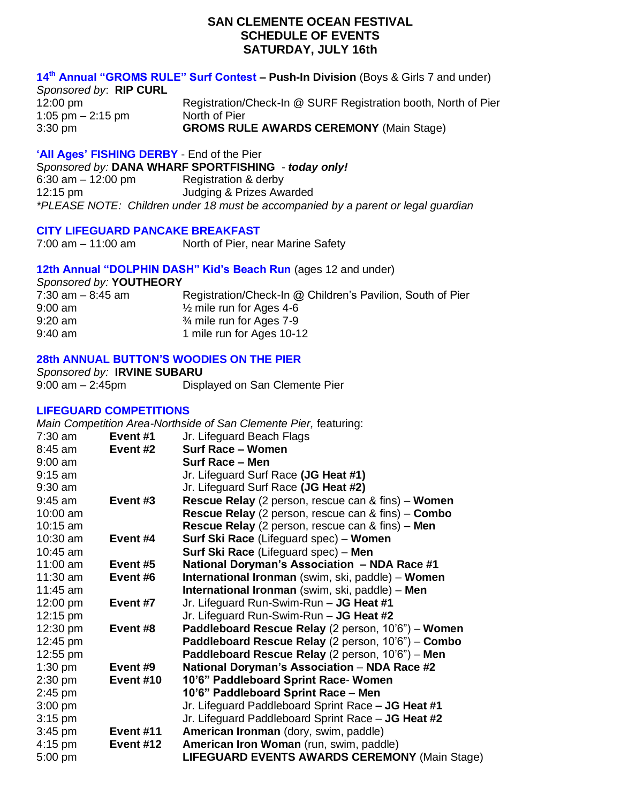# **SAN CLEMENTE OCEAN FESTIVAL SCHEDULE OF EVENTS SATURDAY, JULY 16th**

# **14 th Annual "GROMS RULE" Surf Contest – Push-In Division** (Boys & Girls 7 and under)

*Sponsored by*: **RIP CURL** 12:00 pm **Registration/Check-In @ SURF Registration booth, North of Pier** 1:05 pm  $-2:15$  pm North of Pier 3:30 pm **GROMS RULE AWARDS CEREMONY** (Main Stage)

### **'All Ages' FISHING DERBY** - End of the Pier

S*ponsored by:* **DANA WHARF SPORTFISHING** - *today only!* 6:30 am – 12:00 pm Registration & derby 12:15 pm Judging & Prizes Awarded *\*PLEASE NOTE: Children under 18 must be accompanied by a parent or legal guardian*

### **CITY LIFEGUARD PANCAKE BREAKFAST**

7:00 am – 11:00 am North of Pier, near Marine Safety

# **12th Annual "DOLPHIN DASH" Kid's Beach Run** (ages 12 and under)

*Sponsored by:* **YOUTHEORY**

| 7:30 am – 8:45 am | Registration/Check-In @ Children's Pavilion, South of Pier |
|-------------------|------------------------------------------------------------|
| $9:00$ am         | $\frac{1}{2}$ mile run for Ages 4-6                        |
| $9:20$ am         | 3⁄4 mile run for Ages 7-9                                  |
| $9:40$ am         | 1 mile run for Ages 10-12                                  |

# **28th ANNUAL BUTTON'S WOODIES ON THE PIER**

*Sponsored by:* **IRVINE SUBARU** 9:00 am – 2:45pm Displayed on San Clemente Pier

# **LIFEGUARD COMPETITIONS**

*Main Competition Area-Northside of San Clemente Pier,* featuring:

| $7:30$ am          | Event #1  | Jr. Lifeguard Beach Flags                                        |
|--------------------|-----------|------------------------------------------------------------------|
| $8:45$ am          | Event #2  | Surf Race – Women                                                |
| $9:00$ am          |           | <b>Surf Race - Men</b>                                           |
| $9:15$ am          |           | Jr. Lifeguard Surf Race (JG Heat #1)                             |
| $9:30$ am          |           | Jr. Lifeguard Surf Race (JG Heat #2)                             |
| $9:45$ am          | Event #3  | <b>Rescue Relay</b> (2 person, rescue can & fins) – <b>Women</b> |
| 10:00 am           |           | <b>Rescue Relay</b> (2 person, rescue can & fins) – <b>Combo</b> |
| $10:15$ am         |           | <b>Rescue Relay</b> (2 person, rescue can & fins) – Men          |
| 10:30 am           | Event #4  | <b>Surf Ski Race</b> (Lifeguard spec) – <b>Women</b>             |
| $10:45$ am         |           | <b>Surf Ski Race</b> (Lifeguard spec) – Men                      |
| 11:00 $am$         | Event #5  | National Doryman's Association - NDA Race #1                     |
| 11:30 $am$         | Event #6  | <b>International Ironman</b> (swim, ski, paddle) – <b>Women</b>  |
| $11:45$ am         |           | International Ironman (swim, ski, paddle) - Men                  |
| 12:00 pm           | Event #7  | Jr. Lifeguard Run-Swim-Run - JG Heat #1                          |
| $12:15 \text{ pm}$ |           | Jr. Lifeguard Run-Swim-Run - JG Heat #2                          |
| 12:30 pm           | Event #8  | Paddleboard Rescue Relay (2 person, 10'6") – Women               |
| 12:45 pm           |           | Paddleboard Rescue Relay (2 person, 10'6") - Combo               |
| 12:55 pm           |           | Paddleboard Rescue Relay (2 person, 10'6") – Men                 |
| $1:30$ pm          | Event #9  | National Doryman's Association - NDA Race #2                     |
| $2:30$ pm          | Event #10 | 10'6" Paddleboard Sprint Race- Women                             |
| $2:45$ pm          |           | 10'6" Paddleboard Sprint Race - Men                              |
| $3:00$ pm          |           | Jr. Lifeguard Paddleboard Sprint Race - JG Heat #1               |
| $3:15$ pm          |           | Jr. Lifeguard Paddleboard Sprint Race - JG Heat #2               |
| 3:45 pm            | Event #11 | American Ironman (dory, swim, paddle)                            |
| $4:15$ pm          | Event #12 | American Iron Woman (run, swim, paddle)                          |
| 5:00 pm            |           | <b>LIFEGUARD EVENTS AWARDS CEREMONY (Main Stage)</b>             |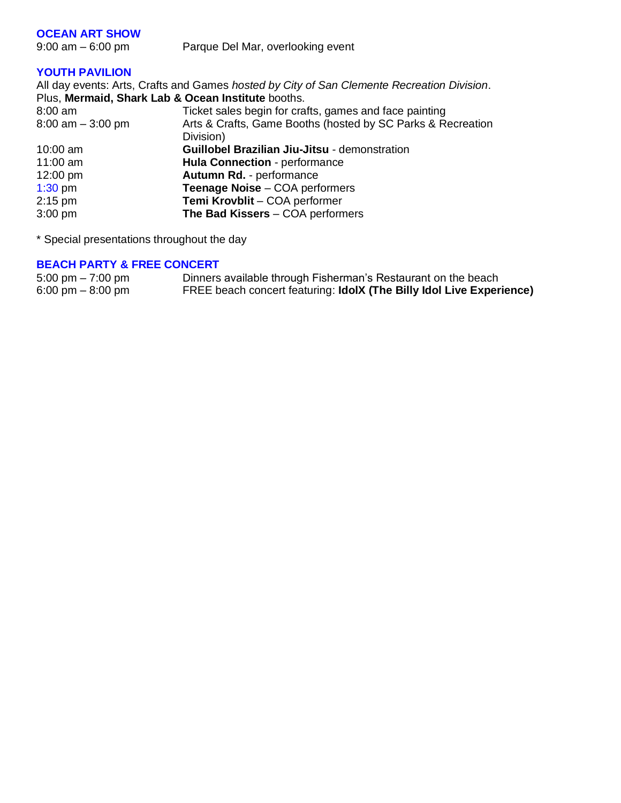### **OCEAN ART SHOW**

9:00 am – 6:00 pm Parque Del Mar, overlooking event

## **YOUTH PAVILION**

All day events: Arts, Crafts and Games *hosted by City of San Clemente Recreation Division*. Plus, **Mermaid, Shark Lab & Ocean Institute** booths. 8:00 am Ticket sales begin for crafts, games and face painting 8:00 am – 3:00 pm Arts & Crafts, Game Booths (hosted by SC Parks & Recreation Division) 10:00 am **Guillobel Brazilian Jiu-Jitsu** - demonstration 11:00 am **Hula Connection** - performance 12:00 pm **Autumn Rd.** - performance 1:30 pm **Teenage Noise** – COA performers 2:15 pm **Temi Krovblit** – COA performer 3:00 pm **The Bad Kissers** – COA performers

\* Special presentations throughout the day

#### **BEACH PARTY & FREE CONCERT**

| $5:00 \text{ pm} - 7:00 \text{ pm}$ | Dinners available through Fisherman's Restaurant on the beach        |
|-------------------------------------|----------------------------------------------------------------------|
| 6:00 pm $-$ 8:00 pm                 | FREE beach concert featuring: IdolX (The Billy Idol Live Experience) |